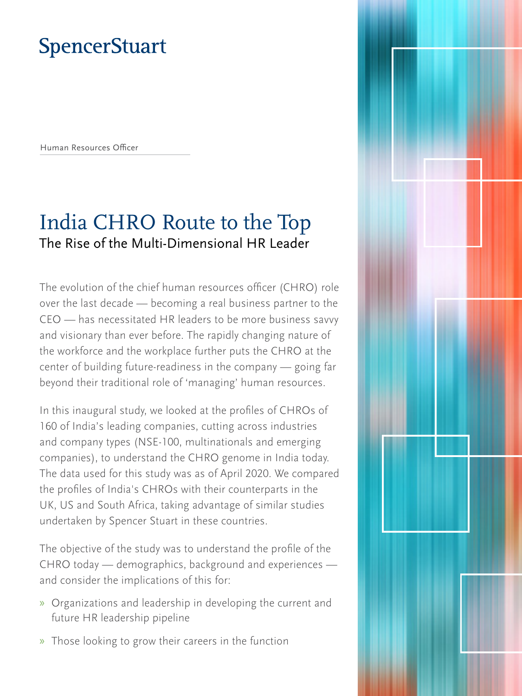# **SpencerStuart**

Human Resources Officer

# India CHRO Route to the Top The Rise of the Multi-Dimensional HR Leader

The evolution of the chief human resources officer (CHRO) role over the last decade — becoming a real business partner to the CEO — has necessitated HR leaders to be more business savvy and visionary than ever before. The rapidly changing nature of the workforce and the workplace further puts the CHRO at the center of building future-readiness in the company — going far beyond their traditional role of 'managing' human resources.

In this inaugural study, we looked at the profiles of CHROs of 160 of India's leading companies, cutting across industries and company types (NSE-100, multinationals and emerging companies), to understand the CHRO genome in India today. The data used for this study was as of April 2020. We compared the profiles of India's CHROs with their counterparts in the UK, US and South Africa, taking advantage of similar studies undertaken by Spencer Stuart in these countries.

The objective of the study was to understand the profile of the CHRO today — demographics, background and experiences and consider the implications of this for:

- » Organizations and leadership in developing the current and future HR leadership pipeline
- » Those looking to grow their careers in the function

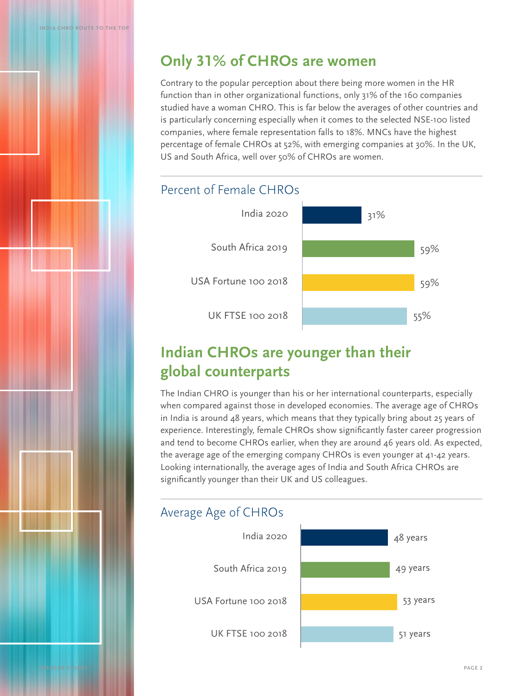# **Only 31% of CHROs are women**

Contrary to the popular perception about there being more women in the HR function than in other organizational functions, only 31% of the 160 companies studied have a woman CHRO. This is far below the averages of other countries and is particularly concerning especially when it comes to the selected NSE-100 listed companies, where female representation falls to 18%. MNCs have the highest percentage of female CHROs at 52%, with emerging companies at 30%. In the UK, US and South Africa, well over 50% of CHROs are women.

#### Percent of Female CHROs



## **Indian CHROs are younger than their global counterparts**

The Indian CHRO is younger than his or her international counterparts, especially when compared against those in developed economies. The average age of CHROs in India is around 48 years, which means that they typically bring about 25 years of experience. Interestingly, female CHROs show significantly faster career progression and tend to become CHROs earlier, when they are around 46 years old. As expected, the average age of the emerging company CHROs is even younger at 41-42 years. Looking internationally, the average ages of India and South Africa CHROs are significantly younger than their UK and US colleagues.

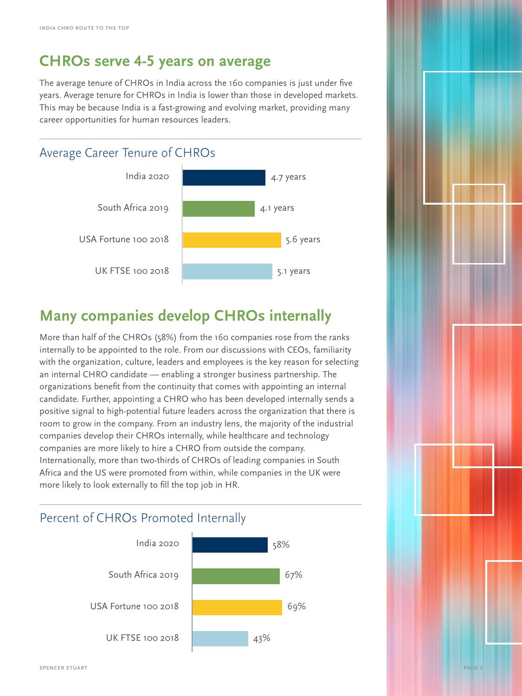# **CHROs serve 4-5 years on average**

The average tenure of CHROs in India across the 160 companies is just under five years. Average tenure for CHROs in India is lower than those in developed markets. This may be because India is a fast-growing and evolving market, providing many career opportunities for human resources leaders.

#### Average Career Tenure of CHROs



# **Many companies develop CHROs internally**

More than half of the CHROs (58%) from the 160 companies rose from the ranks internally to be appointed to the role. From our discussions with CEOs, familiarity with the organization, culture, leaders and employees is the key reason for selecting an internal CHRO candidate — enabling a stronger business partnership. The organizations benefit from the continuity that comes with appointing an internal candidate. Further, appointing a CHRO who has been developed internally sends a positive signal to high-potential future leaders across the organization that there is room to grow in the company. From an industry lens, the majority of the industrial companies develop their CHROs internally, while healthcare and technology companies are more likely to hire a CHRO from outside the company. Internationally, more than two-thirds of CHROs of leading companies in South Africa and the US were promoted from within, while companies in the UK were more likely to look externally to fill the top job in HR.

#### Percent of CHROs Promoted Internally

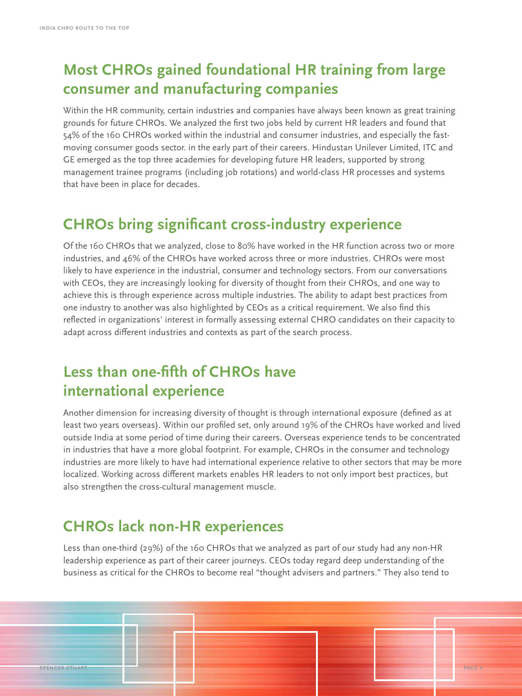# **Most CHROs gained foundational HR training from large consumer and manufacturing companies**

Within the HR community, certain industries and companies have always been known as great training grounds for future CHROs. We analyzed the first two jobs held by current HR leaders and found that 54% of the 160 CHROs worked within the industrial and consumer industries, and especially the fastmoving consumer goods sector. in the early part of their careers. Hindustan Unilever Limited, ITC and GE emerged as the top three academies for developing future HR leaders, supported by strong management trainee programs (including job rotations) and world-class HR processes and systems that have been in place for decades.

### **CHROs bring significant cross-industry experience**

Of the 160 CHROs that we analyzed, close to 80% have worked in the HR function across two or more industries, and 46% of the CHROs have worked across three or more industries. CHROs were most likely to have experience in the industrial, consumer and technology sectors. From our conversations with CEOs, they are increasingly looking for diversity of thought from their CHROs, and one way to achieve this is through experience across multiple industries. The ability to adapt best practices from one industry to another was also highlighted by CEOs as a critical requirement. We also find this reflected in organizations' interest in formally assessing external CHRO candidates on their capacity to adapt across different industries and contexts as part of the search process.

# **Less than one-fifth of CHROs have international experience**

Another dimension for increasing diversity of thought is through international exposure (defined as at least two years overseas). Within our profiled set, only around 19% of the CHROs have worked and lived outside India at some period of time during their careers. Overseas experience tends to be concentrated in industries that have a more global footprint. For example, CHROs in the consumer and technology industries are more likely to have had international experience relative to other sectors that may be more localized. Working across different markets enables HR leaders to not only import best practices, but also strengthen the cross-cultural management muscle.

# **CHROs lack non-HR experiences**

Less than one-third (29%) of the 160 CHROs that we analyzed as part of our study had any non-HR leadership experience as part of their career journeys. CEOs today regard deep understanding of the business as critical for the CHROs to become real "thought advisers and partners." They also tend to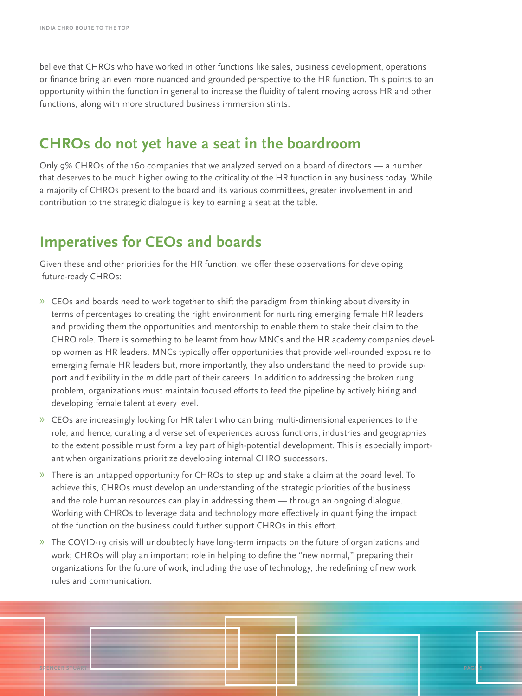believe that CHROs who have worked in other functions like sales, business development, operations or finance bring an even more nuanced and grounded perspective to the HR function. This points to an opportunity within the function in general to increase the fluidity of talent moving across HR and other functions, along with more structured business immersion stints.

### **CHROs do not yet have a seat in the boardroom**

Only 9% CHROs of the 160 companies that we analyzed served on a board of directors — a number that deserves to be much higher owing to the criticality of the HR function in any business today. While a majority of CHROs present to the board and its various committees, greater involvement in and contribution to the strategic dialogue is key to earning a seat at the table.

#### **Imperatives for CEOs and boards**

Given these and other priorities for the HR function, we offer these observations for developing future-ready CHROs:

- $\mathcal{P}$  CEOs and boards need to work together to shift the paradigm from thinking about diversity in terms of percentages to creating the right environment for nurturing emerging female HR leaders and providing them the opportunities and mentorship to enable them to stake their claim to the CHRO role. There is something to be learnt from how MNCs and the HR academy companies develop women as HR leaders. MNCs typically offer opportunities that provide well-rounded exposure to emerging female HR leaders but, more importantly, they also understand the need to provide support and flexibility in the middle part of their careers. In addition to addressing the broken rung problem, organizations must maintain focused efforts to feed the pipeline by actively hiring and developing female talent at every level.
- » CEOs are increasingly looking for HR talent who can bring multi-dimensional experiences to the role, and hence, curating a diverse set of experiences across functions, industries and geographies to the extent possible must form a key part of high-potential development. This is especially important when organizations prioritize developing internal CHRO successors.
- $\mathcal Y$  There is an untapped opportunity for CHROs to step up and stake a claim at the board level. To achieve this, CHROs must develop an understanding of the strategic priorities of the business and the role human resources can play in addressing them — through an ongoing dialogue. Working with CHROs to leverage data and technology more effectively in quantifying the impact of the function on the business could further support CHROs in this effort.
- » The COVID-19 crisis will undoubtedly have long-term impacts on the future of organizations and work; CHROs will play an important role in helping to define the "new normal," preparing their organizations for the future of work, including the use of technology, the redefining of new work rules and communication.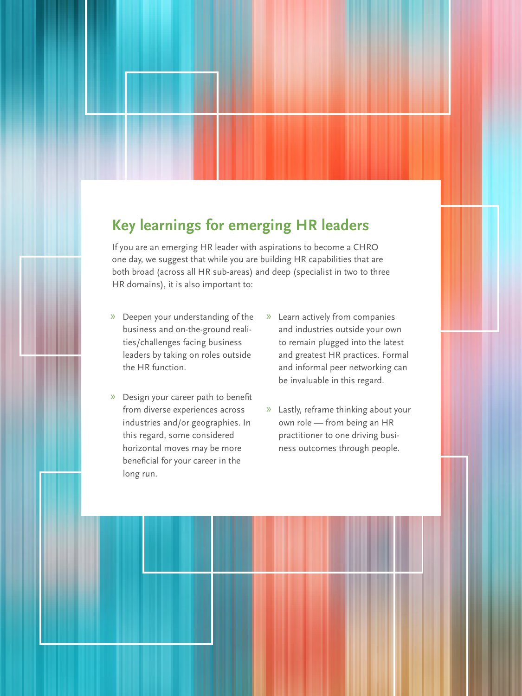## **Key learnings for emerging HR leaders**

If you are an emerging HR leader with aspirations to become a CHRO one day, we suggest that while you are building HR capabilities that are both broad (across all HR sub-areas) and deep (specialist in two to three HR domains), it is also important to:

» Deepen your understanding of the business and on-the-ground realities/challenges facing business leaders by taking on roles outside the HR function.

**INDIA CHRO ROUTE TO THE TOP**

- » Design your career path to benefit from diverse experiences across industries and/or geographies. In this regard, some considered horizontal moves may be more beneficial for your career in the long run.
- » Learn actively from companies and industries outside your own to remain plugged into the latest and greatest HR practices. Formal and informal peer networking can be invaluable in this regard.
- » Lastly, reframe thinking about your own role — from being an HR practitioner to one driving business outcomes through people.

**SPENCER STUART PAGE 6**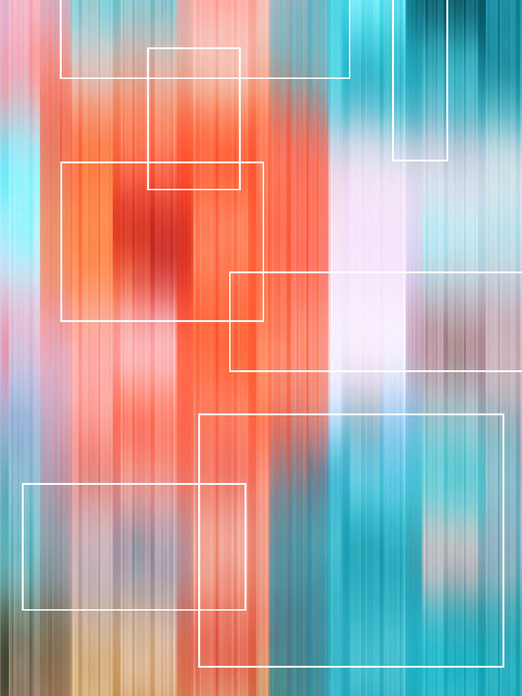